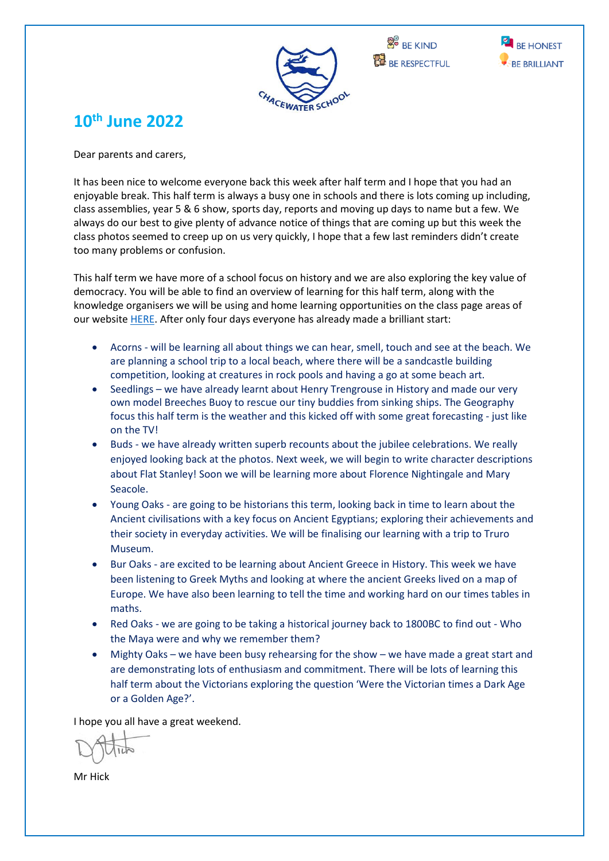





## **10th June 2022**

Dear parents and carers,

It has been nice to welcome everyone back this week after half term and I hope that you had an enjoyable break. This half term is always a busy one in schools and there is lots coming up including, class assemblies, year 5 & 6 show, sports day, reports and moving up days to name but a few. We always do our best to give plenty of advance notice of things that are coming up but this week the class photos seemed to creep up on us very quickly, I hope that a few last reminders didn't create too many problems or confusion.

This half term we have more of a school focus on history and we are also exploring the key value of democracy. You will be able to find an overview of learning for this half term, along with the knowledge organisers we will be using and home learning opportunities on the class page areas of our websit[e HERE.](https://www.chacewater.cornwall.sch.uk/web/our_classes/460499) After only four days everyone has already made a brilliant start:

- Acorns will be learning all about things we can hear, smell, touch and see at the beach. We are planning a school trip to a local beach, where there will be a sandcastle building competition, looking at creatures in rock pools and having a go at some beach art.
- Seedlings we have already learnt about Henry Trengrouse in History and made our very own model Breeches Buoy to rescue our tiny buddies from sinking ships. The Geography focus this half term is the weather and this kicked off with some great forecasting - just like on the TV!
- Buds we have already written superb recounts about the jubilee celebrations. We really enjoyed looking back at the photos. Next week, we will begin to write character descriptions about Flat Stanley! Soon we will be learning more about Florence Nightingale and Mary Seacole.
- Young Oaks are going to be historians this term, looking back in time to learn about the Ancient civilisations with a key focus on Ancient Egyptians; exploring their achievements and their society in everyday activities. We will be finalising our learning with a trip to Truro Museum.
- Bur Oaks are excited to be learning about Ancient Greece in History. This week we have been listening to Greek Myths and looking at where the ancient Greeks lived on a map of Europe. We have also been learning to tell the time and working hard on our times tables in maths.
- Red Oaks we are going to be taking a historical journey back to 1800BC to find out Who the Maya were and why we remember them?
- Mighty Oaks we have been busy rehearsing for the show we have made a great start and are demonstrating lots of enthusiasm and commitment. There will be lots of learning this half term about the Victorians exploring the question 'Were the Victorian times a Dark Age or a Golden Age?'.

I hope you all have a great weekend.

Mr Hick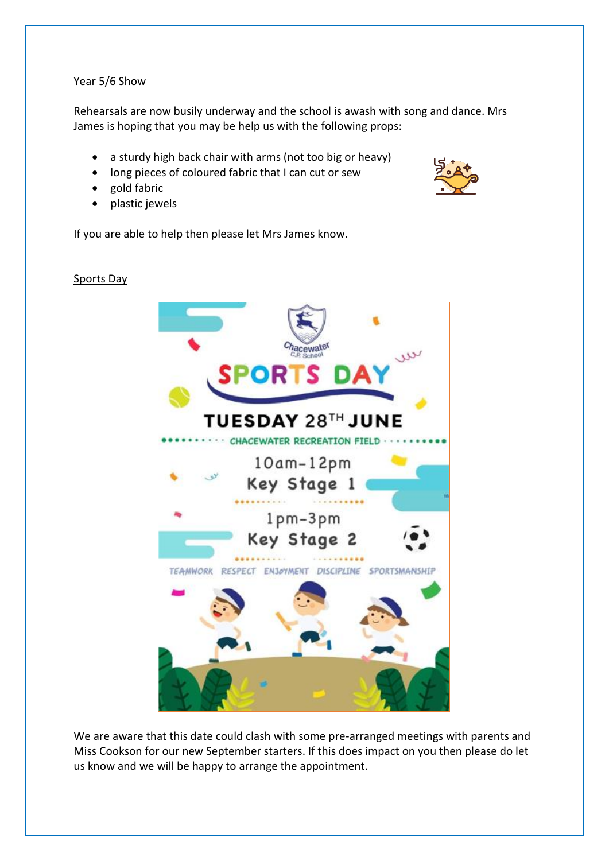#### Year 5/6 Show

Rehearsals are now busily underway and the school is awash with song and dance. Mrs James is hoping that you may be help us with the following props:

- a sturdy high back chair with arms (not too big or heavy)
- long pieces of coloured fabric that I can cut or sew
- gold fabric
- plastic jewels

If you are able to help then please let Mrs James know.



We are aware that this date could clash with some pre-arranged meetings with parents and Miss Cookson for our new September starters. If this does impact on you then please do let us know and we will be happy to arrange the appointment.

#### Sports Day

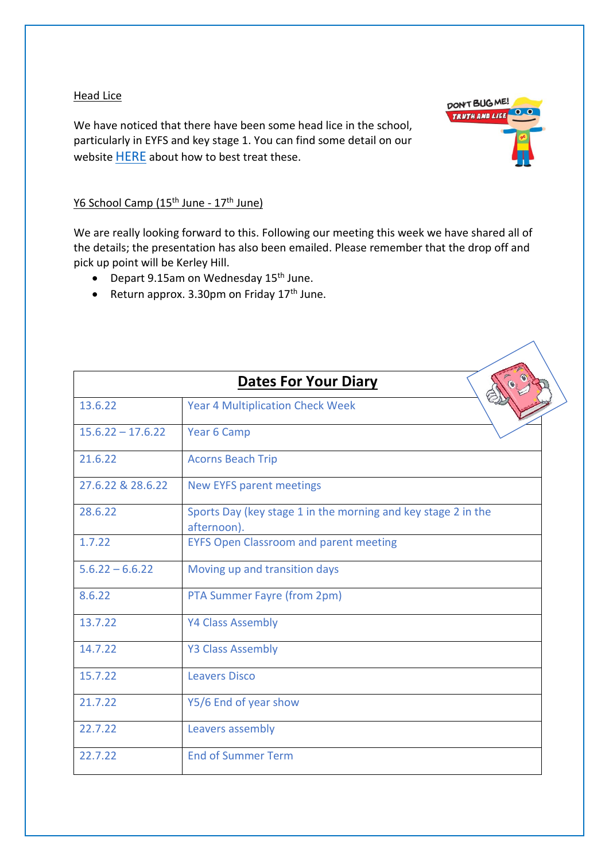#### **Head Lice**

We have noticed that there have been some head lice in the school, particularly in EYFS and key stage 1. You can find some detail on our website [HERE](https://www.chacewater.cornwall.sch.uk/web/headlice_guidance/380127) about how to best treat these.



### Y6 School Camp (15<sup>th</sup> June - 17<sup>th</sup> June)

We are really looking forward to this. Following our meeting this week we have shared all of the details; the presentation has also been emailed. Please remember that the drop off and pick up point will be Kerley Hill.

- Depart 9.15am on Wednesday 15<sup>th</sup> June.
- Return approx.  $3.30$ pm on Friday  $17<sup>th</sup>$  June.

| <b>Dates For Your Diary</b> |                                                                              |  |
|-----------------------------|------------------------------------------------------------------------------|--|
| 13.6.22                     | <b>Year 4 Multiplication Check Week</b>                                      |  |
| $15.6.22 - 17.6.22$         | Year 6 Camp                                                                  |  |
| 21.6.22                     | <b>Acorns Beach Trip</b>                                                     |  |
| 27.6.22 & 28.6.22           | <b>New EYFS parent meetings</b>                                              |  |
| 28.6.22                     | Sports Day (key stage 1 in the morning and key stage 2 in the<br>afternoon). |  |
| 1.7.22                      | <b>EYFS Open Classroom and parent meeting</b>                                |  |
| $5.6.22 - 6.6.22$           | Moving up and transition days                                                |  |
| 8.6.22                      | PTA Summer Fayre (from 2pm)                                                  |  |
| 13.7.22                     | <b>Y4 Class Assembly</b>                                                     |  |
| 14.7.22                     | <b>Y3 Class Assembly</b>                                                     |  |
| 15.7.22                     | <b>Leavers Disco</b>                                                         |  |
| 21.7.22                     | Y5/6 End of year show                                                        |  |
| 22.7.22                     | Leavers assembly                                                             |  |
| 22.7.22                     | <b>End of Summer Term</b>                                                    |  |